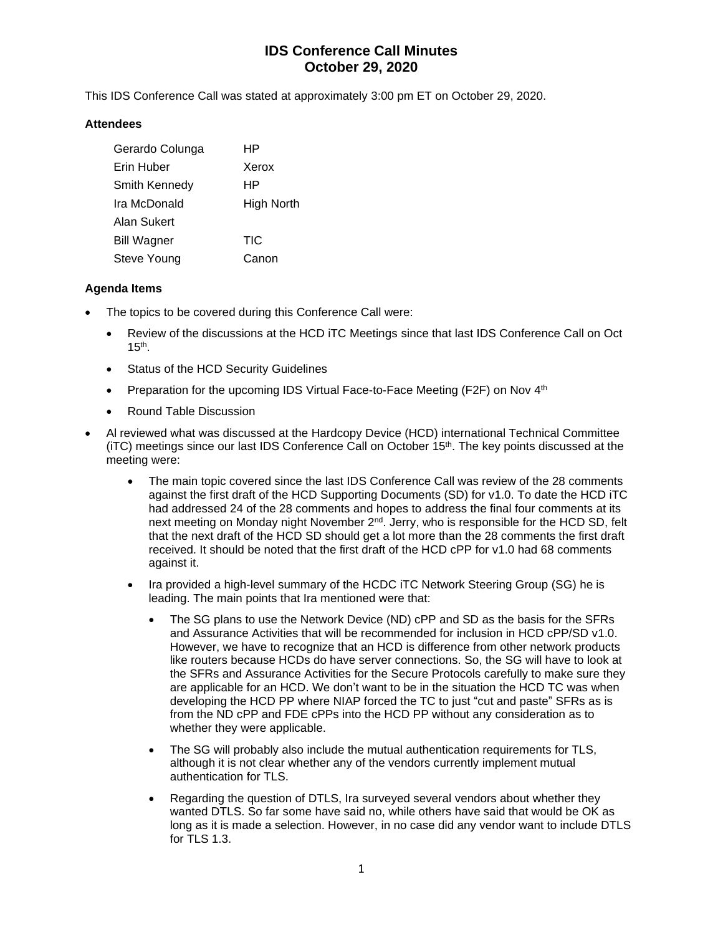# **IDS Conference Call Minutes October 29, 2020**

This IDS Conference Call was stated at approximately 3:00 pm ET on October 29, 2020.

### **Attendees**

| Gerardo Colunga      | HP                |
|----------------------|-------------------|
| Erin Huber           | Xerox             |
| <b>Smith Kennedy</b> | ΗP                |
| Ira McDonald         | <b>High North</b> |
| Alan Sukert          |                   |
| <b>Bill Wagner</b>   | <b>TIC</b>        |
| Steve Young          | Canon             |

### **Agenda Items**

- The topics to be covered during this Conference Call were:
	- Review of the discussions at the HCD iTC Meetings since that last IDS Conference Call on Oct  $15<sup>th</sup>$ .
	- Status of the HCD Security Guidelines
	- Preparation for the upcoming IDS Virtual Face-to-Face Meeting (F2F) on Nov 4<sup>th</sup>
	- Round Table Discussion
- Al reviewed what was discussed at the Hardcopy Device (HCD) international Technical Committee (iTC) meetings since our last IDS Conference Call on October 15<sup>th</sup>. The key points discussed at the meeting were:
	- The main topic covered since the last IDS Conference Call was review of the 28 comments against the first draft of the HCD Supporting Documents (SD) for v1.0. To date the HCD iTC had addressed 24 of the 28 comments and hopes to address the final four comments at its next meeting on Monday night November 2nd. Jerry, who is responsible for the HCD SD, felt that the next draft of the HCD SD should get a lot more than the 28 comments the first draft received. It should be noted that the first draft of the HCD cPP for v1.0 had 68 comments against it.
	- Ira provided a high-level summary of the HCDC iTC Network Steering Group (SG) he is leading. The main points that Ira mentioned were that:
		- The SG plans to use the Network Device (ND) cPP and SD as the basis for the SFRs and Assurance Activities that will be recommended for inclusion in HCD cPP/SD v1.0. However, we have to recognize that an HCD is difference from other network products like routers because HCDs do have server connections. So, the SG will have to look at the SFRs and Assurance Activities for the Secure Protocols carefully to make sure they are applicable for an HCD. We don't want to be in the situation the HCD TC was when developing the HCD PP where NIAP forced the TC to just "cut and paste" SFRs as is from the ND cPP and FDE cPPs into the HCD PP without any consideration as to whether they were applicable.
		- The SG will probably also include the mutual authentication requirements for TLS, although it is not clear whether any of the vendors currently implement mutual authentication for TLS.
		- Regarding the question of DTLS, Ira surveyed several vendors about whether they wanted DTLS. So far some have said no, while others have said that would be OK as long as it is made a selection. However, in no case did any vendor want to include DTLS for TLS 1.3.